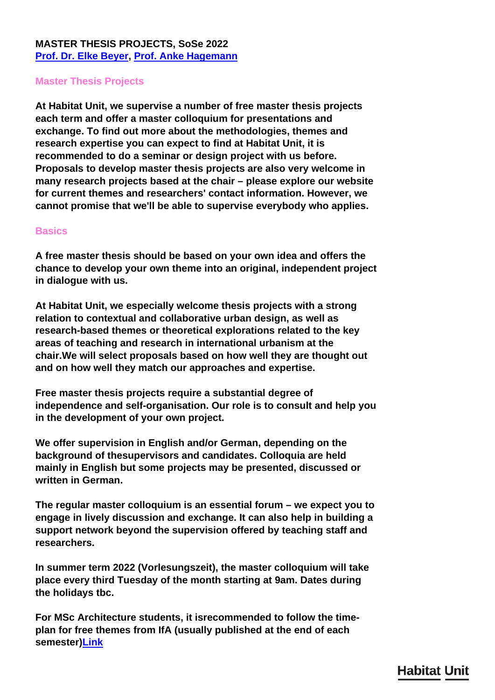## **MASTER THESIS PROJECTS, SoSe 2022 [Prof. Dr. Elke Beyer,](../en/team/elke-beyer/) [Prof. Anke Hagemann](../en/team/anke-hagemann/)**

## **Master Thesis Projects**

**At Habitat Unit, we supervise a number of free master thesis projects each term and offer a master colloquium for presentations and exchange. To find out more about the methodologies, themes and research expertise you can expect to find at Habitat Unit, it is recommended to do a seminar or design project with us before. Proposals to develop master thesis projects are also very welcome in many research projects based at the chair – please explore our website for current themes and researchers' contact information. However, we cannot promise that we'll be able to supervise everybody who applies.**

## **Basics**

**A free master thesis should be based on your own idea and offers the chance to develop your own theme into an original, independent project in dialogue with us.**

**At Habitat Unit, we especially welcome thesis projects with a strong relation to contextual and collaborative urban design, as well as research-based themes or theoretical explorations related to the key areas of teaching and research in international urbanism at the chair.We will select proposals based on how well they are thought out and on how well they match our approaches and expertise.**

**Free master thesis projects require a substantial degree of independence and self-organisation. Our role is to consult and help you in the development of your own project.**

**We offer supervision in English and/or German, depending on the background of thesupervisors and candidates. Colloquia are held mainly in English but some projects may be presented, discussed or written in German.**

**The regular master colloquium is an essential forum – we expect you to engage in lively discussion and exchange. It can also help in building a support network beyond the supervision offered by teaching staff and researchers.**

**In summer term 2022 (Vorlesungszeit), the master colloquium will take place every third Tuesday of the month starting at 9am. Dates during the holidays tbc.**

**For MSc Architecture students, it isrecommended to follow the timeplan for free themes from IfA (usually published at the end of each semester[\)Link](https://www.architektur.tu-berlin.de/menue/studium/downloads/)**

## **Habitat Unit**